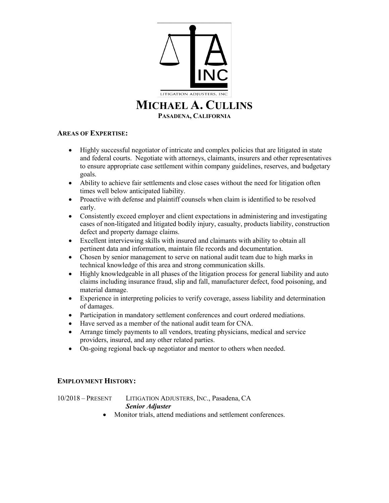

## **AREAS OF EXPERTISE:**

- Highly successful negotiator of intricate and complex policies that are litigated in state and federal courts. Negotiate with attorneys, claimants, insurers and other representatives to ensure appropriate case settlement within company guidelines, reserves, and budgetary goals.
- Ability to achieve fair settlements and close cases without the need for litigation often times well below anticipated liability.
- Proactive with defense and plaintiff counsels when claim is identified to be resolved early.
- Consistently exceed employer and client expectations in administering and investigating cases of non-litigated and litigated bodily injury, casualty, products liability, construction defect and property damage claims.
- Excellent interviewing skills with insured and claimants with ability to obtain all pertinent data and information, maintain file records and documentation.
- Chosen by senior management to serve on national audit team due to high marks in technical knowledge of this area and strong communication skills.
- Highly knowledgeable in all phases of the litigation process for general liability and auto claims including insurance fraud, slip and fall, manufacturer defect, food poisoning, and material damage.
- Experience in interpreting policies to verify coverage, assess liability and determination of damages.
- Participation in mandatory settlement conferences and court ordered mediations.
- Have served as a member of the national audit team for CNA.
- Arrange timely payments to all vendors, treating physicians, medical and service providers, insured, and any other related parties.
- On-going regional back-up negotiator and mentor to others when needed.

## **EMPLOYMENT HISTORY:**

10/2018 – PRESENT LITIGATION ADJUSTERS, INC., Pasadena, CA *Senior Adjuster*

• Monitor trials, attend mediations and settlement conferences.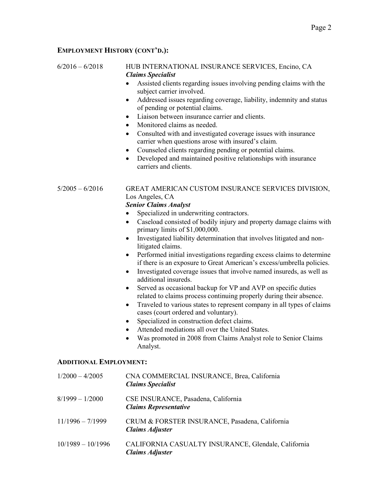### **EMPLOYMENT HISTORY (CONT'D.):**

#### 6/2016 – 6/2018 HUB INTERNATIONAL INSURANCE SERVICES, Encino, CA *Claims Specialist*

- Assisted clients regarding issues involving pending claims with the subject carrier involved.
- Addressed issues regarding coverage, liability, indemnity and status of pending or potential claims.
- Liaison between insurance carrier and clients.
- Monitored claims as needed.
- Consulted with and investigated coverage issues with insurance carrier when questions arose with insured's claim.
- Counseled clients regarding pending or potential claims.
- Developed and maintained positive relationships with insurance carriers and clients.

## 5/2005 – 6/2016 GREAT AMERICAN CUSTOM INSURANCE SERVICES DIVISION, Los Angeles, CA

## *Senior Claims Analyst*

- Specialized in underwriting contractors.
- Caseload consisted of bodily injury and property damage claims with primary limits of \$1,000,000.
- Investigated liability determination that involves litigated and nonlitigated claims.
- Performed initial investigations regarding excess claims to determine if there is an exposure to Great American's excess/umbrella policies.
- Investigated coverage issues that involve named insureds, as well as additional insureds.
- Served as occasional backup for VP and AVP on specific duties related to claims process continuing properly during their absence.
- Traveled to various states to represent company in all types of claims cases (court ordered and voluntary).
- Specialized in construction defect claims.
- Attended mediations all over the United States.
- Was promoted in 2008 from Claims Analyst role to Senior Claims Analyst.

#### **ADDITIONAL EMPLOYMENT:**

| $1/2000 - 4/2005$   | CNA COMMERCIAL INSURANCE, Brea, California<br><b>Claims Specialist</b>        |
|---------------------|-------------------------------------------------------------------------------|
| $8/1999 - 1/2000$   | CSE INSURANCE, Pasadena, California<br><b>Claims Representative</b>           |
| $11/1996 - 7/1999$  | CRUM & FORSTER INSURANCE, Pasadena, California<br><b>Claims Adjuster</b>      |
| $10/1989 - 10/1996$ | CALIFORNIA CASUALTY INSURANCE, Glendale, California<br><b>Claims Adjuster</b> |